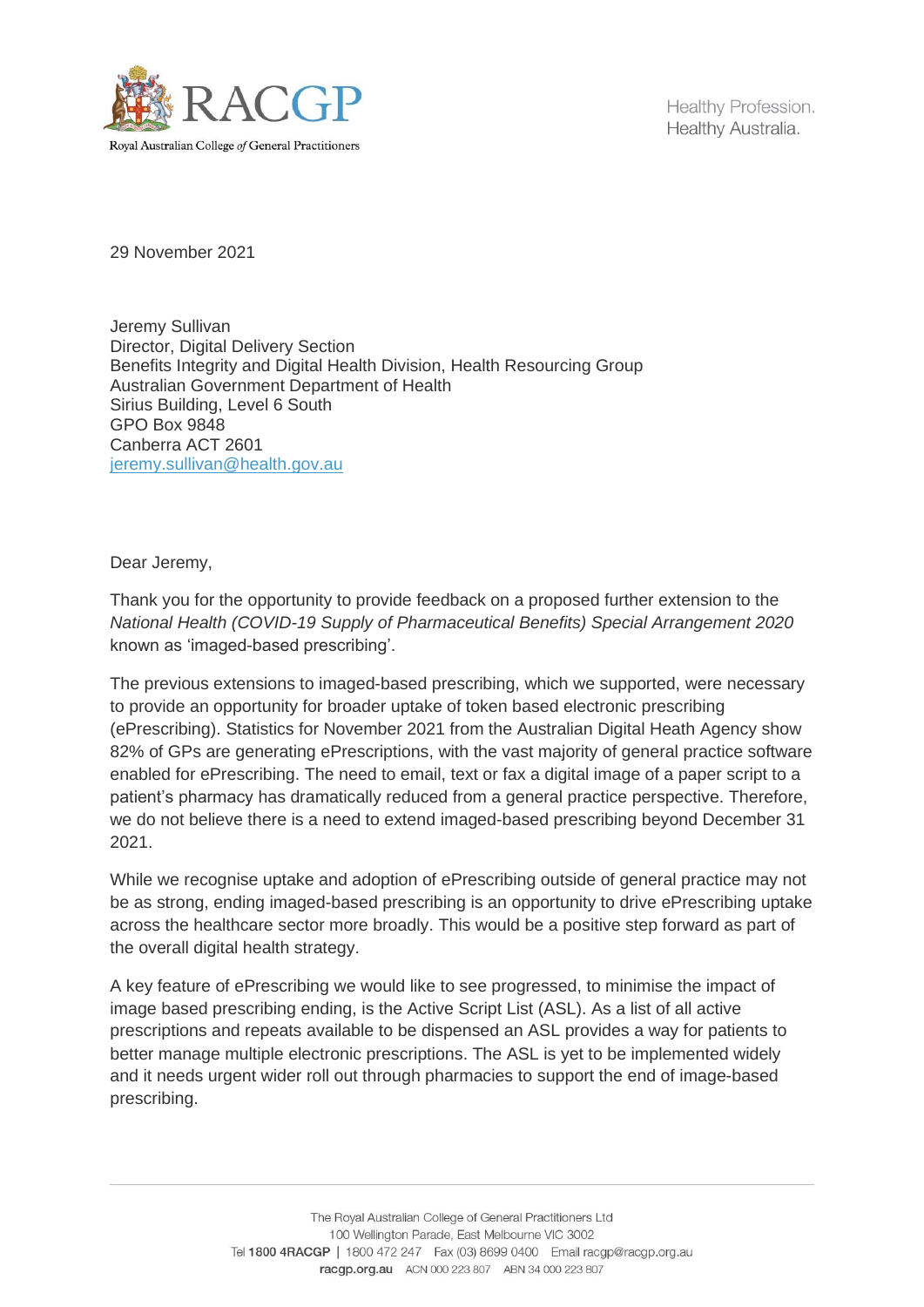

Healthy Profession. Healthy Australia.

29 November 2021

Jeremy Sullivan Director, Digital Delivery Section Benefits Integrity and Digital Health Division, Health Resourcing Group Australian Government Department of Health Sirius Building, Level 6 South GPO Box 9848 Canberra ACT 2601 [jeremy.sullivan@health.gov.au](mailto:jeremy.sullivan@health.gov.au)

Dear Jeremy,

Thank you for the opportunity to provide feedback on a proposed further extension to the *National Health (COVID-19 Supply of Pharmaceutical Benefits) Special Arrangement 2020*  known as 'imaged-based prescribing'.

The previous extensions to imaged-based prescribing, which we supported, were necessary to provide an opportunity for broader uptake of token based electronic prescribing (ePrescribing). Statistics for November 2021 from the Australian Digital Heath Agency show 82% of GPs are generating ePrescriptions, with the vast majority of general practice software enabled for ePrescribing. The need to email, text or fax a digital image of a paper script to a patient's pharmacy has dramatically reduced from a general practice perspective. Therefore, we do not believe there is a need to extend imaged-based prescribing beyond December 31 2021.

While we recognise uptake and adoption of ePrescribing outside of general practice may not be as strong, ending imaged-based prescribing is an opportunity to drive ePrescribing uptake across the healthcare sector more broadly. This would be a positive step forward as part of the overall digital health strategy.

A key feature of ePrescribing we would like to see progressed, to minimise the impact of image based prescribing ending, is the Active Script List (ASL). As a list of all active prescriptions and repeats available to be dispensed an ASL provides a way for patients to better manage multiple electronic prescriptions. The ASL is yet to be implemented widely and it needs urgent wider roll out through pharmacies to support the end of image-based prescribing.